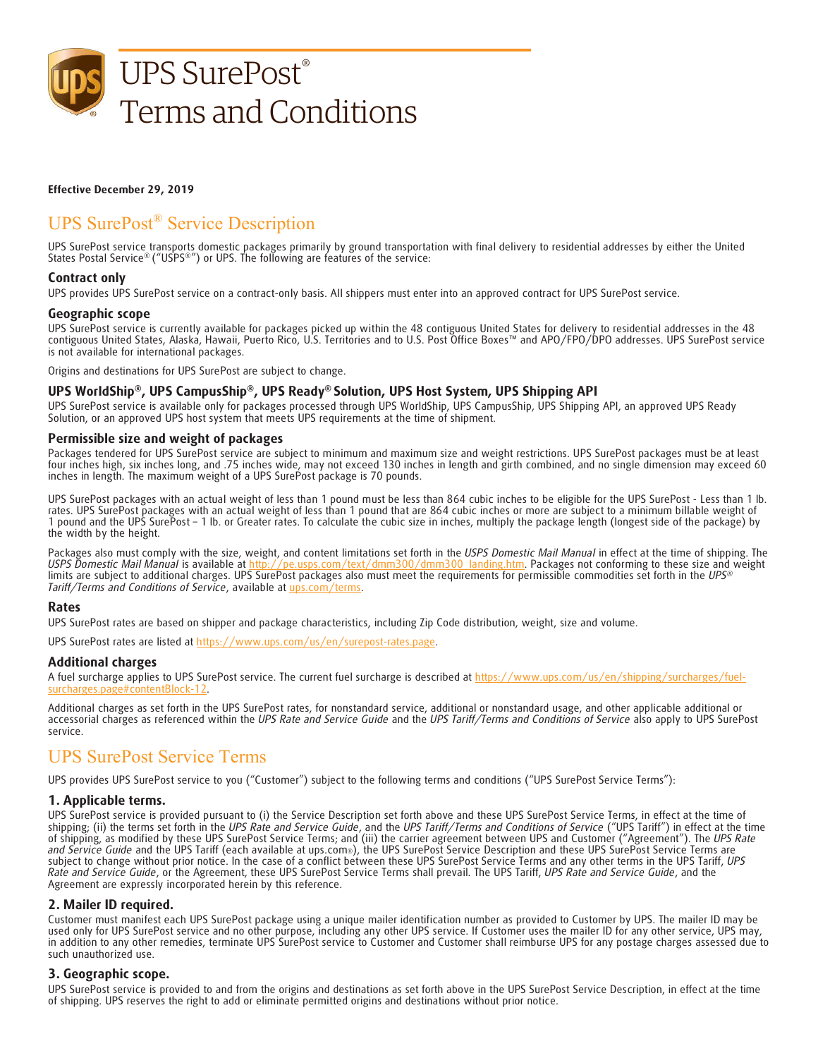

#### **Effective December 29, 2019**

# UPS SurePost® Service Description

UPS SurePost service transports domestic packages primarily by ground transportation with final delivery to residential addresses by either the United States Postal Service® ("USPS®") or UPS. The following are features of the service:

## **Contract only**

UPS provides UPS SurePost service on a contract-only basis. All shippers must enter into an approved contract for UPS SurePost service.

#### **Geographic scope**

UPS SurePost service is currently available for packages picked up within the 48 contiguous United States for delivery to residential addresses in the 48 contiguous United States, Alaska, Hawaii, Puerto Rico, U.S. Territories and to U.S. Post Office Boxes™ and APO/FPO/DPO addresses. UPS SurePost service is not available for international packages.

Origins and destinations for UPS SurePost are subject to change.

## **UPS WorldShip®, UPS CampusShip®, UPS Ready® Solution, UPS Host System, UPS Shipping API**

UPS SurePost service is available only for packages processed through UPS WorldShip, UPS CampusShip, UPS Shipping API, an approved UPS Ready Solution, or an approved UPS host system that meets UPS requirements at the time of shipment.

#### **Permissible size and weight of packages**

Packages tendered for UPS SurePost service are subject to minimum and maximum size and weight restrictions. UPS SurePost packages must be at least four inches high, six inches long, and .75 inches wide, may not exceed 130 inches in length and girth combined, and no single dimension may exceed 60 inches in length. The maximum weight of a UPS SurePost package is 70 pounds.

UPS SurePost packages with an actual weight of less than 1 pound must be less than 864 cubic inches to be eligible for the UPS SurePost - Less than 1 lb. rates. UPS SurePost packages with an actual weight of less than 1 pound that are 864 cubic inches or more are subject to a minimum billable weight of 1 pound and the UPS SurePost – 1 lb. or Greater rates. To calculate the cubic size in inches, multiply the package length (longest side of the package) by the width by the height.

Packages also must comply with the size, weight, and content limitations set forth in the USPS Domestic Mail Manual in effect at the time of shipping. The USPS Domestic Mail Manual is available at the time of shipping. The *USPS Domestic Mail Manual* is available at http://pe.usps.com/text/dmm300/dmm300\_landing.htm. Packages not conforming to these size and weight limits are subject to additional charges. UPS SurePost packages also must meet the requirements for permissible commodities set forth in the *UPS® Tariff/Terms and Conditions of Service*, available at [ups.com/terms.](https://www.ups.com/us/en/help-center/legal-terms-conditions/tariff.page)

#### **Rates**

UPS SurePost rates are based on shipper and package characteristics, including Zip Code distribution, weight, size and volume.

UPS SurePost rates are listed at https://www.ups.com/us/en/surepost-rates.page.

#### **Additional charges**

A fuel surcharge applies to UPS SurePost service. The current fuel surcharge is described at https://www.ups.com/us/en/shipping/surcharges/fuelsurcharges.page#contentBlock-12.

Additional charges as set forth in the UPS SurePost rates, for nonstandard service, additional or nonstandard usage, and other applicable additional or accessorial charges as referenced within the *UPS Rate and Service Guide* and the *UPS Tariff/Terms and Conditions of Service* also apply to UPS SurePost service.

## UPS SurePost Service Terms

UPS provides UPS SurePost service to you ("Customer") subject to the following terms and conditions ("UPS SurePost Service Terms"):

## **1. Applicable terms.**

UPS SurePost service is provided pursuant to (i) the Service Description set forth above and these UPS SurePost Service Terms, in effect at the time of shipping; (ii) the terms set forth in the *UPS Rate and Service Guide*, and the *UPS Tariff/Terms and Conditions of Service* ("UPS Tariff") in effect at the time of shipping, as modified by these UPS SurePost Service Terms; and (iii) the carrier agreement between UPS and Customer ("Agreement"). The *UPS Rate and Service Guide* and the UPS Tariff (each available at ups.com®), the UPS SurePost Service Description and these UPS SurePost Service Terms are subject to change without prior notice. In the case of a conflict between these UPS SurePost Service Terms and any other terms in the UPS Tariff, *UPS Rate and Service Guide*, or the Agreement, these UPS SurePost Service Terms shall prevail. The UPS Tariff, *UPS Rate and Service Guide*, and the Agreement are expressly incorporated herein by this reference.

## **2. Mailer ID required.**

Customer must manifest each UPS SurePost package using a unique mailer identification number as provided to Customer by UPS. The mailer ID may be used only for UPS SurePost service and no other purpose, including any other UPS service. If Customer uses the mailer ID for any other service, UPS may, in addition to any other remedies, terminate UPS SurePost service to Customer and Customer shall reimburse UPS for any postage charges assessed due to such unauthorized use.

## **3. Geographic scope.**

UPS SurePost service is provided to and from the origins and destinations as set forth above in the UPS SurePost Service Description, in effect at the time of shipping. UPS reserves the right to add or eliminate permitted origins and destinations without prior notice.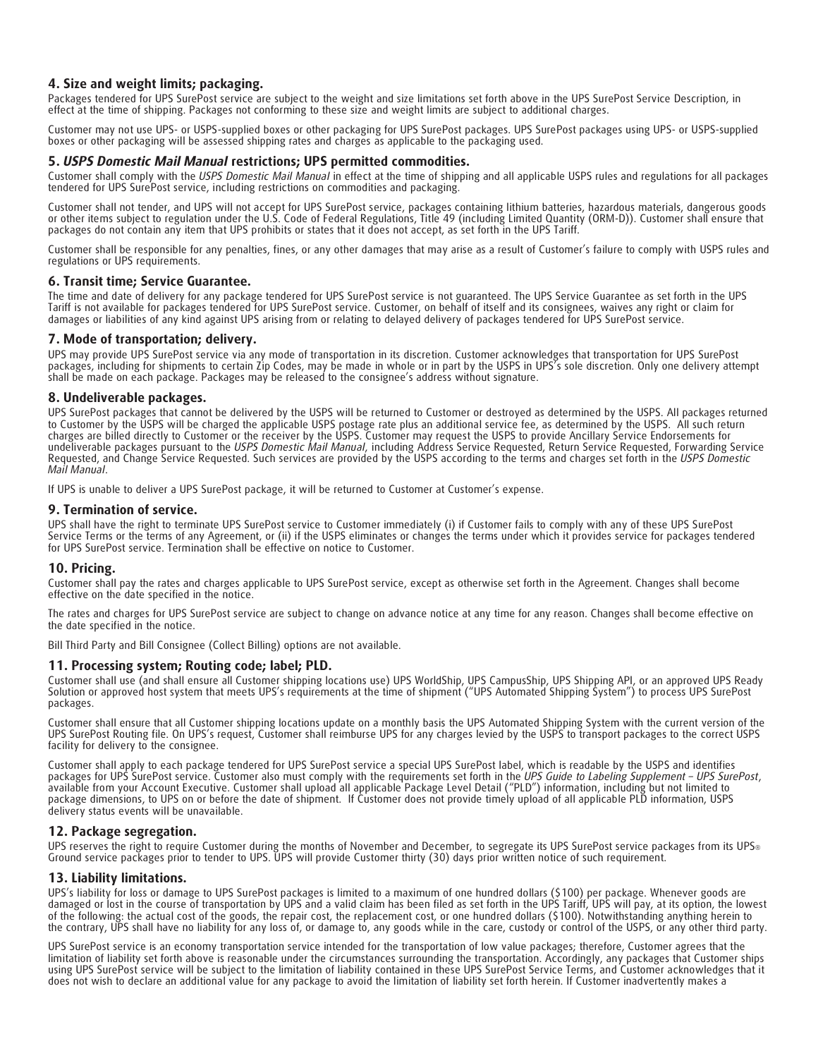## **4. Size and weight limits; packaging.**

Packages tendered for UPS SurePost service are subject to the weight and size limitations set forth above in the UPS SurePost Service Description, in effect at the time of shipping. Packages not conforming to these size and weight limits are subject to additional charges.

Customer may not use UPS- or USPS-supplied boxes or other packaging for UPS SurePost packages. UPS SurePost packages using UPS- or USPS-supplied boxes or other packaging will be assessed shipping rates and charges as applicable to the packaging used.

## **5.** *USPS Domestic Mail Manual* **restrictions; UPS permitted commodities.**

Customer shall comply with the *USPS Domestic Mail Manual* in effect at the time of shipping and all applicable USPS rules and regulations for all packages tendered for UPS SurePost service, including restrictions on commodities and packaging.

Customer shall not tender, and UPS will not accept for UPS SurePost service, packages containing lithium batteries, hazardous materials, dangerous goods or other items subject to regulation under the U.S. Code of Federal Regulations, Title 49 (including Limited Quantity (ORM-D)). Customer shall ensure that packages do not contain any item that UPS prohibits or states that it does not accept, as set forth in the UPS Tariff.

Customer shall be responsible for any penalties, fines, or any other damages that may arise as a result of Customer's failure to comply with USPS rules and regulations or UPS requirements.

## **6. Transit time; Service Guarantee.**

The time and date of delivery for any package tendered for UPS SurePost service is not guaranteed. The UPS Service Guarantee as set forth in the UPS Tariff is not available for packages tendered for UPS SurePost service. Customer, on behalf of itself and its consignees, waives any right or claim for damages or liabilities of any kind against UPS arising from or relating to delayed delivery of packages tendered for UPS SurePost service.

## **7. Mode of transportation; delivery.**

UPS may provide UPS SurePost service via any mode of transportation in its discretion. Customer acknowledges that transportation for UPS SurePost packages, including for shipments to certain Zip Codes, may be made in whole or in part by the USPS in UPS's sole discretion. Only one delivery attempt shall be made on each package. Packages may be released to the consignee's address without signature.

## **8. Undeliverable packages.**

UPS SurePost packages that cannot be delivered by the USPS will be returned to Customer or destroyed as determined by the USPS. All packages returned to Customer by the USPS will be charged the applicable USPS postage rate plus an additional service fee, as determined by the USPS. All such return charges are billed directly to Customer or the receiver by the USPS. Customer may request the USPS to provide Ancillary Service Endorsements for undeliverable packages pursuant to the *USPS Domestic Mail Manual*, including Address Service Requested, Return Service Requested, Forwarding Service Requested, and Change Service Requested. Such services are provided by the USPS according to the terms and charges set forth in the *USPS Domestic Mail Manual*.

If UPS is unable to deliver a UPS SurePost package, it will be returned to Customer at Customer's expense.

## **9. Termination of service.**

UPS shall have the right to terminate UPS SurePost service to Customer immediately (i) if Customer fails to comply with any of these UPS SurePost Service Terms or the terms of any Agreement, or (ii) if the USPS eliminates or changes the terms under which it provides service for packages tendered for UPS SurePost service. Termination shall be effective on notice to Customer.

## **10. Pricing.**

Customer shall pay the rates and charges applicable to UPS SurePost service, except as otherwise set forth in the Agreement. Changes shall become effective on the date specified in the notice.

The rates and charges for UPS SurePost service are subject to change on advance notice at any time for any reason. Changes shall become effective on the date specified in the notice.

Bill Third Party and Bill Consignee (Collect Billing) options are not available.

## **11. Processing system; Routing code; label; PLD.**

Customer shall use (and shall ensure all Customer shipping locations use) UPS WorldShip, UPS CampusShip, UPS Shipping API, or an approved UPS Ready Solution or approved host system that meets UPS's requirements at the time of shipment ("UPS Automated Shipping System") to process UPS SurePost packages.

Customer shall ensure that all Customer shipping locations update on a monthly basis the UPS Automated Shipping System with the current version of the UPS SurePost Routing file. On UPS's request, Customer shall reimburse UPS for any charges levied by the USPS to transport packages to the correct USPS facility for delivery to the consignee.

Customer shall apply to each package tendered for UPS SurePost service a special UPS SurePost label, which is readable by the USPS and identifies packages for UPS SurePost service. Customer also must comply with the requirements set forth in the UPS Guide to Labeling Supplement – UPS SurePost,<br>available from your Account Executive. Customer shall upload all applicab package dimensions, to UPS on or before the date of shipment. If Customer does not provide timely upload of all applicable PLD information, USPS delivery status events will be unavailable.

## **12. Package segregation.**

UPS reserves the right to require Customer during the months of November and December, to segregate its UPS SurePost service packages from its UPS® Ground service packages prior to tender to UPS. UPS will provide Customer thirty (30) days prior written notice of such requirement.

## **13. Liability limitations.**

UPS's liability for loss or damage to UPS SurePost packages is limited to a maximum of one hundred dollars (\$100) per package. Whenever goods are damaged or lost in the course of transportation by UPS and a valid claim has been filed as set forth in the UPS Tariff, UPS will pay, at its option, the lowest of the following: the actual cost of the goods, the repair cost, the replacement cost, or one hundred dollars (\$100). Notwithstanding anything herein to the contrary, UPS shall have no liability for any loss of, or damage to, any goods while in the care, custody or control of the USPS, or any other third party.

UPS SurePost service is an economy transportation service intended for the transportation of low value packages; therefore, Customer agrees that the limitation of liability set forth above is reasonable under the circumstances surrounding the transportation. Accordingly, any packages that Customer ships using UPS SurePost service will be subject to the limitation of liability contained in these UPS SurePost Service Terms, and Customer acknowledges that it does not wish to declare an additional value for any package to avoid the limitation of liability set forth herein. If Customer inadvertently makes a